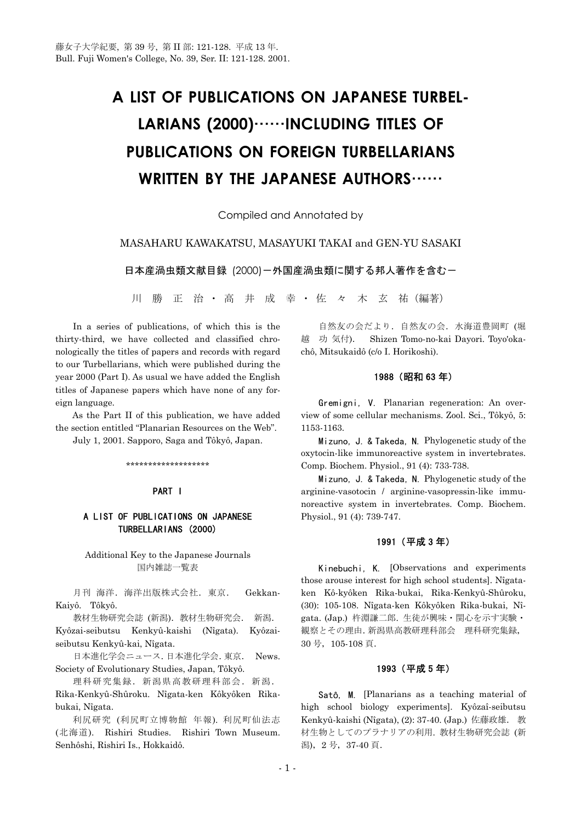# **A LIST OF PUBLICATIONS ON JAPANESE TURBEL-LARIANS (2000)**……**INCLUDING TITLES OF PUBLICATIONS ON FOREIGN TURBELLARIANS WRITTEN BY THE JAPANESE AUTHORS**……

Compiled and Annotated by

## MASAHARU KAWAKATSU, MASAYUKI TAKAI and GEN-YU SASAKI

日本産渦虫類文献目録 (2000)ー外国産渦虫類に関する邦人著作を含むー

川 勝 正 治 · 高 井 成 幸 · 佐 々 木 玄 祐 (編著)

 In a series of publications, of which this is the thirty-third, we have collected and classified chronologically the titles of papers and records with regard to our Turbellarians, which were published during the year 2000 (Part I). As usual we have added the English titles of Japanese papers which have none of any foreign language.

 As the Part II of this publication, we have added the section entitled "Planarian Resources on the Web".

July 1, 2001. Sapporo, Saga and Tôkyô, Japan.

\*\*\*\*\*\*\*\*\*\*\*\*\*\*\*\*\*\*\*

## PART I

# A LIST OF PUBLICATIONS ON JAPANESE TURBELLARIANS (2000)

## Additional Key to the Japanese Journals 国内雑誌一覧表

 月刊 海洋.海洋出版株式会社.東京. Gekkan-Kaiyô. Tôkyô.

 教材生物研究会誌 (新潟).教材生物研究会. 新潟. Kyôzai-seibutsu Kenkyû-kaishi (Nîgata). Kyôzaiseibutsu Kenkyû-kai, Nîgata.

 日本進化学会ニュース.日本進化学会.東京. News. Society of Evolutionary Studies, Japan, Tôkyô.

理科研究集録. 新潟県高教研理科部会. 新潟. Rika-Kenkyû-Shûroku. Nîgata-ken Kôkyôken Rikabukai, Nîgata.

 利尻研究 (利尻町立博物館 年報). 利尻町仙法志 (北海道). Rishiri Studies. Rishiri Town Museum. Senhôshi, Rishiri Is., Hokkaidô.

 自然友の会だより.自然友の会.水海道豊岡町 (堀 越 功 気付). Shizen Tomo-no-kai Dayori. Toyo'okachô, Mitsukaidô (c/o I. Horikoshi).

#### 1988 (昭和 63 年)

 Gremigni, V. Planarian regeneration: An overview of some cellular mechanisms. Zool. Sci., Tôkyô, 5: 1153-1163.

 Mizuno, J. & Takeda, N. Phylogenetic study of the oxytocin-like immunoreactive system in invertebrates. Comp. Biochem. Physiol., 91 (4): 733-738.

 Mizuno, J. & Takeda, N. Phylogenetic study of the arginine-vasotocin / arginine-vasopressin-like immunoreactive system in invertebrates. Comp. Biochem. Physiol., 91 (4): 739-747.

## 1991 (平成 3 年)

 Kinebuchi, K. [Observations and experiments those arouse interest for high school students]. Nîgataken Kô-kyôken Rika-bukai, Rika-Kenkyû-Shûroku, (30): 105-108. Nîgata-ken Kôkyôken Rika-bukai, Nîgata. (Jap.) 杵淵謙二郎. 生徒が興味・関心を示す実験・ 観察とその理由.新潟県高教研理科部会 理科研究集録, 30 号,105-108 頁.

## 1993 (平成 5 年)

 Satô, M. [Planarians as a teaching material of high school biology experiments]. Kyôzaî-seibutsu Kenkyû-kaishi (Nîgata), (2): 37-40. (Jap.) 佐藤政雄. 教 材生物としてのプラナリアの利用. 教材生物研究会誌 (新 潟),2 号,37-40 頁.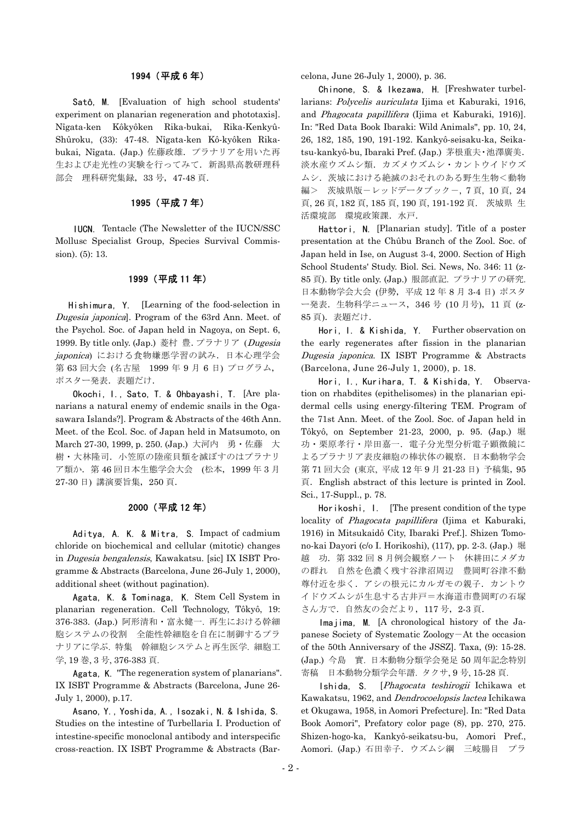#### 1994 (平成 6 年)

 Satô, M. [Evaluation of high school students' experiment on planarian regeneration and phototaxis]. Nîgata-ken Kôkyôken Rika-bukai, Rika-Kenkyû-Shûroku, (33): 47-48. Nîgata-ken Kô-kyôken Rikabukai, Nîgata. (Jap.) 佐藤政雄.プラナリアを用いた再 生および走光性の実験を行ってみて.新潟県高教研理科 部会 理科研究集録,33 号,47-48 頁.

## 1995 (平成 7 年)

 IUCN. Tentacle (The Newsletter of the IUCN/SSC Mollusc Specialist Group, Species Survival Commission). (5): 13.

#### 1999 (平成 11 年)

 Hishimura, Y. [Learning of the food-selection in Dugesia japonica]. Program of the 63rd Ann. Meet. of the Psychol. Soc. of Japan held in Nagoya, on Sept. 6, 1999. By title only. (Jap.) 菱村 豊.プラナリア (Dugesia japonica) における食物嫌悪学習の試み. 日本心理学会 第 63 回大会 (名古屋 1999 年 9 月 6 日) プログラム, ポスター発表. 表題だけ.

 Okochi, I., Sato, T. & Ohbayashi, T. [Are planarians a natural enemy of endemic snails in the Ogasawara Islands?]. Program & Abstracts of the 46th Ann. Meet. of the Ecol. Soc. of Japan held in Matsumoto, on March 27-30, 1999, p. 250. (Jap.) 大河内 勇·佐藤 大 樹・大林隆司.小笠原の陸産貝類を滅ぼすのはプラナリ ア類か.第 46 回日本生態学会大会 (松本,1999 年 3 月 27-30 日) 講演要旨集,250 頁.

## 2000 (平成 12 年)

 Aditya, A. K. & Mitra, S. Impact of cadmium chloride on biochemical and cellular (mitotic) changes in Dugesia bengalensis, Kawakatsu. [sic] IX ISBT Programme & Abstracts (Barcelona, June 26-July 1, 2000), additional sheet (without pagination).

 Agata, K. & Tominaga, K. Stem Cell System in planarian regeneration. Cell Technology, Tôkyô, 19: 376-383. (Jap.) 阿形清和・富永健一. 再生における幹細 胞システムの役割 全能性幹細胞を自在に制御するプラ ナリアに学ぶ. 特集 幹細胞システムと再生医学. 細胞工 学, 19 巻, 3 号, 376-383 頁.

 Agata, K. "The regeneration system of planarians". IX ISBT Programme & Abstracts (Barcelona, June 26- July 1, 2000), p.17.

 Asano, Y., Yoshida, A., Isozaki, N. & Ishida, S. Studies on the intestine of Turbellaria I. Production of intestine-specific monoclonal antibody and interspecific cross-reaction. IX ISBT Programme & Abstracts (Barcelona, June 26-July 1, 2000), p. 36.

 Chinone, S. & Ikezawa, H. [Freshwater turbellarians: Polycelis auriculata Ijima et Kaburaki, 1916, and Phagocata papillifera (Ijima et Kaburaki, 1916)]. In: "Red Data Book Ibaraki: Wild Animals", pp. 10, 24, 26, 182, 185, 190, 191-192. Kankyô-seisaku-ka, Seikatsu-kankyô-bu, Ibaraki Pref. (Jap.) 茅根重夫・池澤廣美. 淡水産ウズムシ類.カズメウズムシ・カントウイドウズ ムシ.茨城における絶滅のおそれのある野生生物<動物 編> 茨城県版-レッドデータブック-, 7 頁, 10 頁, 24 頁, 26 頁, 182 頁, 185 頁, 190 頁, 191-192 頁. 茨城県 生 活環境部 環境政策課. 水戸.

 Hattori, N. [Planarian study]. Title of a poster presentation at the Chûbu Branch of the Zool. Soc. of Japan held in Ise, on August 3-4, 2000. Section of High School Students' Study. Biol. Sci. News, No. 346: 11 (z-85 頁). By title only. (Jap.) 服部直記. プラナリアの研究. 日本動物学会大会 (伊勢, 平成 12年8月3-4日) ポスタ ー発表.生物科学ニュース,346 号 (10 月号),11 頁 (z-85 頁). 表題だけ.

 Hori, I. & Kishida, Y. Further observation on the early regenerates after fission in the planarian Dugesia japonica. IX ISBT Programme & Abstracts (Barcelona, June 26-July 1, 2000), p. 18.

 Hori, I., Kurihara, T. & Kishida, Y. Observation on rhabdites (epithelisomes) in the planarian epidermal cells using energy-filtering TEM. Program of the 71st Ann. Meet. of the Zool. Soc. of Japan held in Tôkyô, on September 21-23, 2000, p. 95. (Jap.) 堀 功・栗原孝行・岸田嘉一.電子分光型分析電子顕微鏡に よるプラナリア表皮細胞の棒状体の観察.日本動物学会 第 71 回大会 (東京, 平成 12 年 9 月 21-23 日) 予稿集,95 頁.English abstract of this lecture is printed in Zool. Sci., 17-Suppl., p. 78.

 Horikoshi, I. [The present condition of the type locality of *Phagocata papillifera* (Ijima et Kaburaki, 1916) in Mitsukaidô City, Ibaraki Pref.]. Shizen Tomono-kai Dayori (c/o I. Horikoshi), (117), pp. 2-3. (Jap.) 堀 越 功.第 332 回 8 月例会観察ノート 休耕田にメダカ の群れ 自然を色濃く残す谷津沼周辺 豊岡町谷津不動 尊付近を歩く. アシの根元にカルガモの親子. カントウ イドウズムシが生息する古井戸=水海道市豊岡町の石塚 さん方で.自然友の会だより,117 号,2-3 頁.

Imajima, M. [A chronological history of the Japanese Society of Systematic Zoology-At the occasion of the 50th Anniversary of the JSSZ]. Taxa, (9): 15-28. (Jap.) 今島 實. 日本動物分類学会発足 50 周年記念特別 寄稿 日本動物分類学会年譜. タクサ, 9 号, 15-28 頁.

Ishida, S. [Phagocata teshirogii Ichikawa et Kawakatsu, 1962, and Dendrocoelopsis lactea Ichikawa et Okugawa, 1958, in Aomori Prefecture]. In: "Red Data Book Aomori", Prefatory color page (8), pp. 270, 275. Shizen-hogo-ka, Kankyô-seikatsu-bu, Aomori Pref., Aomori. (Jap.) 石田幸子.ウズムシ綱 三岐腸目 プラ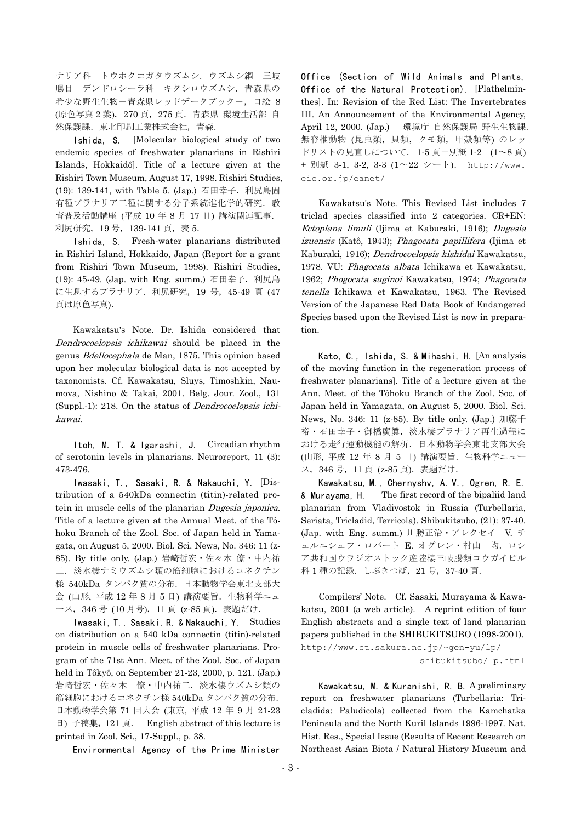ナリア科 トウホクコガタウズムシ.ウズムシ綱 三岐 腸目 デンドロシーラ科 キタシロウズムシ.青森県の 希少な野生生物-青森県レッドデータブックー,口絵 8 (原色写真 2 葉),270 頁,275 頁.青森県 環境生活部 自 然保護課. 東北印刷工業株式会社, 青森.

 Ishida, S. [Molecular biological study of two endemic species of freshwater planarians in Rishiri Islands, Hokkaidô]. Title of a lecture given at the Rishiri Town Museum, August 17, 1998. Rishiri Studies, (19): 139-141, with Table 5. (Jap.) 石田幸子. 利尻島固 有種プラナリア二種に関する分子系統進化学的研究. 教 育普及活動講座 (平成 10 年 8 月 17 日) 講演関連記事. 利尻研究,19 号,139-141 頁,表 5.

 Ishida, S. Fresh-water planarians distributed in Rishiri Island, Hokkaido, Japan (Report for a grant from Rishiri Town Museum, 1998). Rishiri Studies, (19): 45-49. (Jap. with Eng. summ.) 石田幸子. 利尻島 に生息するプラナリア.利尻研究,19 号,45-49 頁 (47 頁は原色写真).

 Kawakatsu's Note. Dr. Ishida considered that Dendrocoelopsis ichikawai should be placed in the genus Bdellocephala de Man, 1875. This opinion based upon her molecular biological data is not accepted by taxonomists. Cf. Kawakatsu, Sluys, Timoshkin, Naumova, Nishino & Takai, 2001. Belg. Jour. Zool., 131 (Suppl.-1): 218. On the status of Dendrocoelopsis ichikawai.

 Itoh, M. T. & Igarashi, J. Circadian rhythm of serotonin levels in planarians. Neuroreport, 11 (3): 473-476.

 Iwasaki, T., Sasaki, R. & Nakauchi, Y. [Distribution of a 540kDa connectin (titin)-related protein in muscle cells of the planarian Dugesia japonica. Title of a lecture given at the Annual Meet. of the Tôhoku Branch of the Zool. Soc. of Japan held in Yamagata, on August 5, 2000. Biol. Sci. News, No. 346: 11 (z-85). By title only. (Jap.) 岩崎哲宏・佐々木 僚・中内祐 二. 淡水棲ナミウズムシ類の筋細胞におけるコネクチン 様 540kDa タンパク質の分布.日本動物学会東北支部大 会 (山形, 平成 12年8月5日) 講演要旨. 生物科学ニュ ース,346 号 (10 月号),11 頁 (z-85 頁).表題だけ.

 Iwasaki, T., Sasaki, R. & Nakauchi, Y. Studies on distribution on a 540 kDa connectin (titin)-related protein in muscle cells of freshwater planarians. Program of the 71st Ann. Meet. of the Zool. Soc. of Japan held in Tôkyô, on September 21-23, 2000, p. 121. (Jap.) 岩崎哲宏・佐々木 僚・中内祐二. 淡水棲ウズムシ類の 筋細胞におけるコネクチン様 540kDa タンパク質の分布. 日本動物学会第 71 回大会 (東京, 平成 12 年 9 月 21-23 日) 予稿集,121 頁. English abstract of this lecture is printed in Zool. Sci., 17-Suppl., p. 38.

Environmental Agency of the Prime Minister

Office (Section of Wild Animals and Plants, Office of the Natural Protection). [Plathelminthes]. In: Revision of the Red List: The Invertebrates III. An Announcement of the Environmental Agency, April 12, 2000. (Jap.) 環境庁 自然保護局 野生生物課. 無脊椎動物 (昆虫類,貝類,クモ類,甲殻類等) のレッ ドリストの見直しについて. 1-5 頁+別紙 1-2 (1~8 頁) + 別紙 3-1, 3-2, 3-3 (1~22 シート). http://www. eic.or.jp/eanet/

 Kawakatsu's Note. This Revised List includes 7 triclad species classified into 2 categories. CR+EN: Ectoplana limuli (Ijima et Kaburaki, 1916); Dugesia izuensis (Katô, 1943); Phagocata papillifera (Ijima et Kaburaki, 1916); Dendrocoelopsis kishidai Kawakatsu, 1978. VU: Phagocata albata Ichikawa et Kawakatsu, 1962; Phogocata suginoi Kawakatsu, 1974; Phagocata tenella Ichikawa et Kawakatsu, 1963. The Revised Version of the Japanese Red Data Book of Endangered Species based upon the Revised List is now in preparation.

 Kato, C., Ishida, S. & Mihashi, H. [An analysis of the moving function in the regeneration process of freshwater planarians]. Title of a lecture given at the Ann. Meet. of the Tôhoku Branch of the Zool. Soc. of Japan held in Yamagata, on August 5, 2000. Biol. Sci. News, No. 346: 11 (z-85). By title only. (Jap.) 加藤千 裕・石田幸子・御橋廣眞. 淡水棲プラナリア再生過程に おける走行運動機能の解析.日本動物学会東北支部大会 (山形, 平成 12 年 8 月 5 日) 講演要旨.生物科学ニュー ス,346 号,11 頁 (z-85 頁).表題だけ.

 Kawakatsu, M., Chernyshv, A. V., Ogren, R. E. & Murayama, H. The first record of the bipaliid land planarian from Vladivostok in Russia (Turbellaria, Seriata, Tricladid, Terricola). Shibukitsubo, (21): 37-40. (Jap. with Eng. summ.) 川勝正治・アレクセイ V. チ ェルニシェフ・ロバート E. オグレン・村山 均. ロシ ア共和国ウラジオストック産陸棲三岐腸類コウガイビル 科 1種の記録. しぶきつぼ, 21号, 37-40 頁.

 Compilers' Note. Cf. Sasaki, Murayama & Kawakatsu, 2001 (a web article). A reprint edition of four English abstracts and a single text of land planarian papers published in the SHIBUKITSUBO (1998-2001). [http://www.ct.sakura.ne.jp/~gen-yu/lp/](http://www.ct.sakura.ne.jp/~gen-yu/lp/shibukitsubo/lp.html)  [shibukitsubo/lp.html](http://www.ct.sakura.ne.jp/~gen-yu/lp/shibukitsubo/lp.html)

 Kawakatsu, M. & Kuranishi, R. B. A preliminary report on freshwater planarians (Turbellaria: Tricladida: Paludicola) collected from the Kamchatka Peninsula and the North Kuril Islands 1996-1997. Nat. Hist. Res., Special Issue (Results of Recent Research on Northeast Asian Biota / Natural History Museum and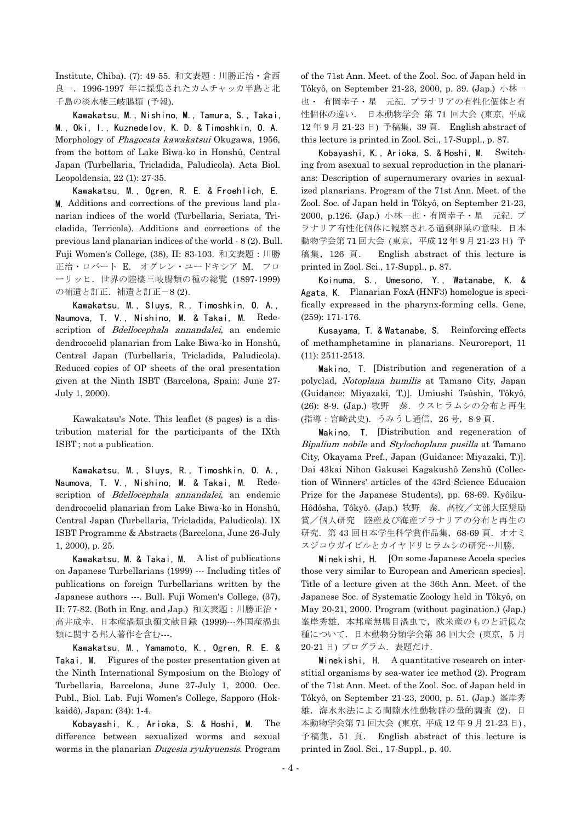Institute, Chiba). (7): 49-55. 和文表題:川勝正治・倉西 良一.1996-1997 年に採集されたカムチャッカ半島と北 千島の淡水棲三岐腸類 (予報).

 Kawakatsu, M., Nishino, M., Tamura, S., Takai, M., Oki, I., Kuznedelov, K. D. & Timoshkin, O. A. Morphology of Phagocata kawakatsui Okugawa, 1956, from the bottom of Lake Biwa-ko in Honshû, Central Japan (Turbellaria, Tricladida, Paludicola). Acta Biol. Leopoldensia, 22 (1): 27-35.

 Kawakatsu, M., Ogren, R. E. & Froehlich, E. M. Additions and corrections of the previous land planarian indices of the world (Turbellaria, Seriata, Tricladida, Terricola). Additions and corrections of the previous land planarian indices of the world - 8 (2). Bull. Fuji Women's College, (38), II: 83-103. 和文表題:川勝 正治・ロバート E. オグレン・ユードキシア M. フロ ーリッヒ.世界の陸棲三岐腸類の種の総覧 (1897-1999) の補遺と訂正.補遺と訂正-8 (2).

 Kawakatsu, M., Sluys, R., Timoshkin, O. A., Naumova, T. V., Nishino, M. & Takai, M. Redescription of Bdellocephala annandalei, an endemic dendrocoelid planarian from Lake Biwa-ko in Honshû, Central Japan (Turbellaria, Tricladida, Paludicola). Reduced copies of OP sheets of the oral presentation given at the Ninth ISBT (Barcelona, Spain: June 27- July 1, 2000).

 Kawakatsu's Note. This leaflet (8 pages) is a distribution material for the participants of the IXth ISBT; not a publication.

 Kawakatsu, M., Sluys, R., Timoshkin, O. A., Naumova, T. V., Nishino, M. & Takai, M. Redescription of Bdellocephala annandalei, an endemic dendrocoelid planarian from Lake Biwa-ko in Honshû, Central Japan (Turbellaria, Tricladida, Paludicola). IX ISBT Programme & Abstracts (Barcelona, June 26-July 1, 2000), p. 25.

 Kawakatsu, M. & Takai, M. A list of publications on Japanese Turbellarians (1999) --- Including titles of publications on foreign Turbellarians written by the Japanese authors ---. Bull. Fuji Women's College, (37), II: 77-82. (Both in Eng. and Jap.) 和文表題:川勝正治・ 高井成幸.日本産渦類虫類文献目録 (1999)---外国産渦虫 類に関する邦人著作を含む….

 Kawakatsu, M., Yamamoto, K., Ogren, R. E. & Takai, M. Figures of the poster presentation given at the Ninth International Symposium on the Biology of Turbellaria, Barcelona, June 27-July 1, 2000. Occ. Publ., Biol. Lab. Fuji Women's College, Sapporo (Hokkaidô), Japan: (34): 1-4.

 Kobayashi, K., Arioka, S. & Hoshi, M. The difference between sexualized worms and sexual worms in the planarian Dugesia ryukyuensis. Program

of the 71st Ann. Meet. of the Zool. Soc. of Japan held in Tôkyô, on September 21-23, 2000, p. 39. (Jap.) 小林一 也・ 有岡幸子・星 元紀. プラナリアの有性化個体と有 性個体の違い. 日本動物学会 第 71 回大会 (東京, 平成 12 年 9 月 21-23 日) 予稿集,39 頁. English abstract of this lecture is printed in Zool. Sci., 17-Suppl., p. 87.

 Kobayashi, K., Arioka, S. & Hoshi, M. Switching from asexual to sexual reproduction in the planarians: Description of supernumerary ovaries in sexualized planarians. Program of the 71st Ann. Meet. of the Zool. Soc. of Japan held in Tôkyô, on September 21-23, 2000, p.126. (Jap.) 小林一也・有岡幸子・星 元紀. プ ラナリア有性化個体に観察される過剰卵巣の意味.日本 動物学会第 71 回大会 (東京,平成 12 年 9 月 21-23 日) 予 稿集,126 頁. English abstract of this lecture is printed in Zool. Sci., 17-Suppl., p. 87.

 Koinuma, S., Umesono, Y., Watanabe, K. & Agata, K. Planarian FoxA (HNF3) homologue is specifically expressed in the pharynx-forming cells. Gene, (259): 171-176.

 Kusayama, T. & Watanabe, S. Reinforcing effects of methamphetamine in planarians. Neuroreport, 11 (11): 2511-2513.

 Makino, T. [Distribution and regeneration of a polyclad, Notoplana humilis at Tamano City, Japan (Guidance: Miyazaki, T.)]. Umiushi Tsûshin, Tôkyô, (26): 8-9. (Jap.) 牧野 泰.ウスヒラムシの分布と再生 (指導:宮崎武史).うみうし通信,26 号,8-9 頁.

 Makino, T. [Distribution and regeneration of Bipalium nobile and Stylochoplana pusilla at Tamano City, Okayama Pref., Japan (Guidance: Miyazaki, T.)]. Dai 43kai Nihon Gakusei Kagakushô Zenshû (Collection of Winners' articles of the 43rd Science Educaion Prize for the Japanese Students), pp. 68-69. Kyôiku-Hôdôsha, Tôkyô. (Jap.) 牧野 泰.高校/文部大臣奨励 賞/個人研究 陸産及び海産プラナリアの分布と再生の 研究. 第 43 回日本学生科学賞作品集, 68-69 頁. オオミ スジコウガイビルとカイヤドリヒラムシの研究…川勝.

 Minekishi, H. [On some Japanese Acoela species those very similar to European and American species]. Title of a lecture given at the 36th Ann. Meet. of the Japanese Soc. of Systematic Zoology held in Tôkyô, on May 20-21, 2000. Program (without pagination.) (Jap.) 峯岸秀雄.本邦産無腸目渦虫で,欧米産のものと近似な 種について.日本動物分類学会第 36 回大会 (東京,5 月 20-21 日) プログラム.表題だけ.

 Minekishi, H. A quantitative research on interstitial organisms by sea-water ice method (2). Program of the 71st Ann. Meet. of the Zool. Soc. of Japan held in Tôkyô, on September 21-23, 2000, p. 51. (Jap.) 峯岸秀 雄.海水氷法による間隙水性動物群の量的調査 (2).日 本動物学会第 71 回大会 (東京, 平成 12 年 9 月 21-23 日) , 予稿集,51 頁. English abstract of this lecture is printed in Zool. Sci., 17-Suppl., p. 40.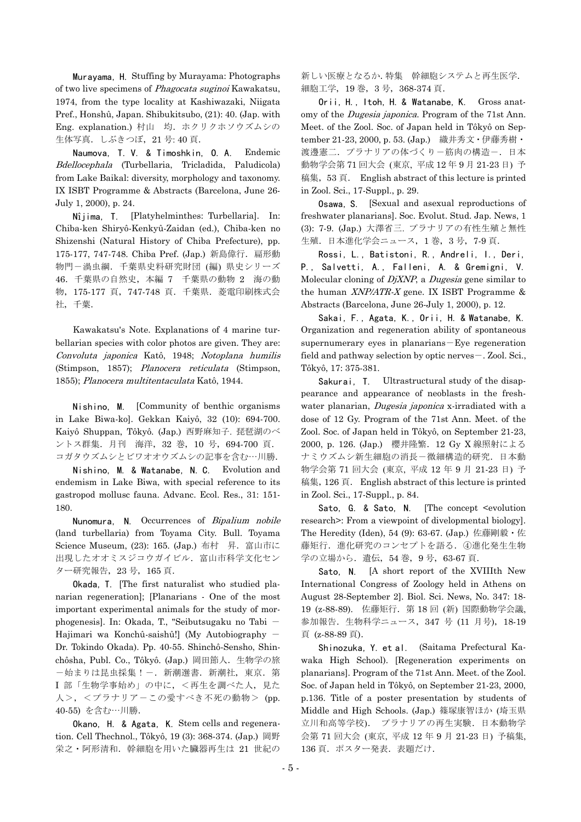Murayama, H. Stuffing by Murayama: Photographs of two live specimens of Phagocata suginoi Kawakatsu, 1974, from the type locality at Kashiwazaki, Niigata Pref., Honshû, Japan. Shibukitsubo, (21): 40. (Jap. with Eng. explanation.) 村山 均.ホクリクホソウズムシの 生体写真. しぶきつぼ, 21号: 40 頁.

 Naumova, T. V. & Timoshkin, O. A. Endemic Bdellocephala (Turbellaria, Tricladida, Paludicola) from Lake Baikal: diversity, morphology and taxonomy. IX ISBT Programme & Abstracts (Barcelona, June 26- July 1, 2000), p. 24.

 Nîjima, T. [Platyhelminthes: Turbellaria]. In: Chiba-ken Shiryô-Kenkyû-Zaidan (ed.), Chiba-ken no Shizenshi (Natural History of Chiba Prefecture), pp. 175-177, 747-748. Chiba Pref. (Jap.) 新島偉行. 扁形動 物門-渦虫綱.千葉県史料研究財団 (編) 県史シリーズ 46.千葉県の自然史,本編 7 千葉県の動物 2 海の動 物,175-177 頁,747-748 頁.千葉県.菱電印刷株式会 社,千葉.

 Kawakatsu's Note. Explanations of 4 marine turbellarian species with color photos are given. They are: Convoluta japonica Katô, 1948; Notoplana humilis (Stimpson, 1857); Planocera reticulata (Stimpson, 1855); Planocera multitentaculata Katô, 1944.

 Nishino, M. [Community of benthic organisms in Lake Biwa-ko]. Gekkan Kaiyô, 32 (10): 694-700. Kaiyô Shuppan, Tôkyô. (Jap.) 西野麻知子. 琵琶湖のベ ントス群集.月刊 海洋,32 巻,10 号,694-700 頁. コガタウズムシとビワオオウズムシの記事を含む…川勝.

 Nishino, M. & Watanabe, N. C. Evolution and endemism in Lake Biwa, with special reference to its gastropod mollusc fauna. Advanc. Ecol. Res., 31: 151- 180.

Nunomura, N. Occurrences of Bipalium nobile (land turbellaria) from Toyama City. Bull. Toyama Science Museum, (23): 165. (Jap.) 布村 昇.富山市に 出現したオオミスジコウガイビル.富山市科学文化セン ター研究報告,23 号,165 頁.

 Okada, T. [The first naturalist who studied planarian regeneration]; [Planarians - One of the most important experimental animals for the study of morphogenesis]. In: Okada, T., "Seibutsugaku no Tabi - Hajimari wa Konchû-saishû!] (My Autobiography - Dr. Tokindo Okada). Pp. 40-55. Shinchô-Sensho, Shinchôsha, Publ. Co., Tôkyô. (Jap.) 岡田節人. 生物学の旅 ー始まりは昆虫採集!ー. 新潮選書. 新潮社, 東京. 第 Ⅰ部「生物学事始め」の中に、<再生を調べた人, 見た 人>, <プラナリアーこの愛すべき不死の動物> (pp. 40-55) を含む…川勝.

 Okano, H. & Agata, K. Stem cells and regeneration. Cell Thechnol., Tôkyô, 19 (3): 368-374. (Jap.) 岡野 栄之・阿形清和. 幹細胞を用いた臓器再生は 21 世紀の

新しい医療となるか.特集 幹細胞システムと再生医学. 細胞工学,19 巻,3 号,368-374 頁.

 Orii, H., Itoh, H. & Watanabe, K. Gross anatomy of the Dugesia japonica. Program of the 71st Ann. Meet. of the Zool. Soc. of Japan held in Tôkyô on September 21-23, 2000, p. 53. (Jap.) 織井秀文・伊藤秀樹・ 渡邊憲二. プラナリアの体づくり一筋肉の構造-. 日本 動物学会第 71 回大会 (東京, 平成 12 年 9 月 21-23 日) 予 稿集,53 頁. English abstract of this lecture is printed in Zool. Sci., 17-Suppl., p. 29.

 Osawa, S. [Sexual and asexual reproductions of freshwater planarians]. Soc. Evolut. Stud. Jap. News, 1 (3): 7-9. (Jap.) 大澤省三. プラナリアの有性生殖と無性 生殖.日本進化学会ニュース,1 巻,3 号,7-9 頁.

 Rossi, L., Batistoni, R., Andreli, I., Deri, P., Salvetti, A., Falleni, A. & Gremigni, V. Molecular cloning of DjXNP, a Dugesia gene similar to the human XNP/ATR-X gene. IX ISBT Programme & Abstracts (Barcelona, June 26-July 1, 2000), p. 12.

 Sakai, F., Agata, K., Orii, H. & Watanabe, K. Organization and regeneration ability of spontaneous supernumerary eyes in planarians-Eye regeneration field and pathway selection by optic nerves - . Zool. Sci., Tôkyô, 17: 375-381.

Sakurai, T. Ultrastructural study of the disappearance and appearance of neoblasts in the freshwater planarian, *Dugesia japonica* x-irradiated with a dose of 12 Gy. Program of the 71st Ann. Meet. of the Zool. Soc. of Japan held in Tôkyô, on September 21-23, 2000, p. 126. (Jap.) 櫻井隆繁.12 Gy X 線照射による ナミウズムシ新生細胞の消長-微細構造的研究.日本動 物学会第 71 回大会 (東京, 平成 12 年 9 月 21-23 日) 予 稿集, 126 頁. English abstract of this lecture is printed in Zool. Sci., 17-Suppl., p. 84.

Sato, G. & Sato, N. [The concept <evolution research>: From a viewpoint of divelopmental biology]. The Heredity (Iden), 54 (9): 63-67. (Jap.) 佐藤剛毅・佐 藤矩行. 進化研究のコンセプトを語る. 4進化発生生物 学の立場から. 遺伝, 54 巻, 9号, 63-67 頁.

Sato, N. [A short report of the XVIIIth New International Congress of Zoology held in Athens on August 28-September 2]. Biol. Sci. News, No. 347: 18- 19 (z-88-89). 佐藤矩行. 第 18 回 (新) 国際動物学会議, 参加報告.生物科学ニュース,347 号 (11 月号),18-19 頁 (z-88-89 頁).

 Shinozuka, Y. et al. (Saitama Prefectural Kawaka High School). [Regeneration experiments on planarians]. Program of the 71st Ann. Meet. of the Zool. Soc. of Japan held in Tôkyô, on September 21-23, 2000, p.136. Title of a poster presentation by students of Middle and High Schools. (Jap.) 篠塚康智ほか (埼玉県 立川和高等学校). プラナリアの再生実験.日本動物学 会第 71 回大会 (東京, 平成 12 年 9 月 21-23 日) 予稿集, 136 頁. ポスター発表. 表題だけ.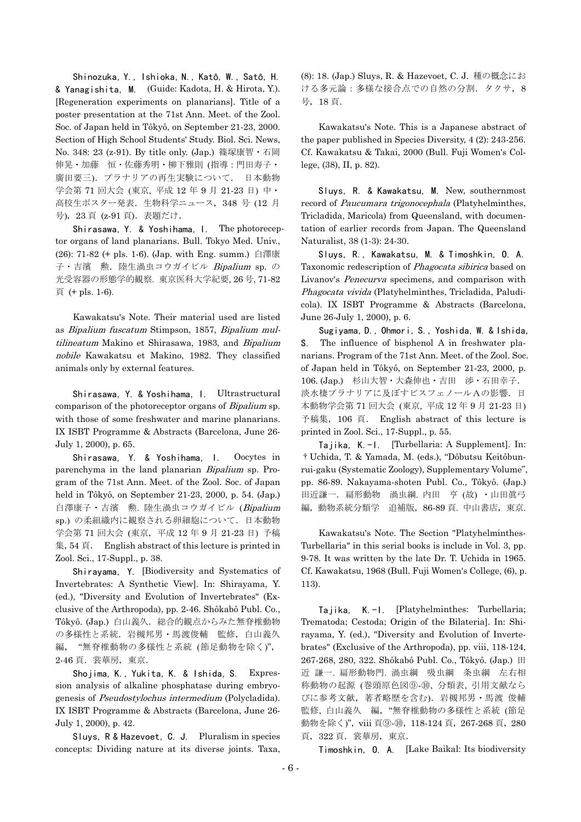Shinozuka, Y., Ishioka, N., Katô, W., Satô, H. & Yanagishita, M. (Guide: Kadota, H. & Hirota, Y.). [Regeneration experiments on planarians]. Title of a poster presentation at the 71st Ann. Meet. of the Zool. Soc. of Japan held in Tôkyô, on September 21-23, 2000. Section of High School Students' Study. Biol. Sci. News, No. 348: 23 (z-91). By title only. (Jap.) 篠塚康智・石岡 伸晃・加藤 恒・佐藤秀明・柳下雅則 (指導:門田寿子・ 廣田要三).プラナリアの再生実験について. 日本動物 学会第 71 回大会 (東京, 平成 12 年 9 月 21-23 日) 中・ 高校生ポスター発表.生物科学ニュース,348 号 (12 月 号), 23 頁 (z-91 頁). 表題だけ.

 Shirasawa, Y. & Yoshihama, I. The photoreceptor organs of land planarians. Bull. Tokyo Med. Univ., (26): 71-82 (+ pls. 1-6). (Jap. with Eng. summ.) 白澤康 子·吉濱 勲. 陸生渦虫コウガイビル Bipalium sp. の 光受容器の形態学的観察. 東京医科大学紀要, 26 号, 71-82 頁 (+ pls. 1-6).

 Kawakatsu's Note. Their material used are listed as Bipalium fuscatum Stimpson, 1857, Bipalium multilineatum Makino et Shirasawa, 1983, and Bipalium nobile Kawakatsu et Makino, 1982. They classified animals only by external features.

 Shirasawa, Y. & Yoshihama, I. Ultrastructural comparison of the photoreceptor organs of Bipalium sp. with those of some freshwater and marine planarians. IX ISBT Programme & Abstracts (Barcelona, June 26- July 1, 2000), p. 65.

 Shirasawa, Y. & Yoshihama, I. Oocytes in parenchyma in the land planarian Bipalium sp. Program of the 71st Ann. Meet. of the Zool. Soc. of Japan held in Tôkyô, on September 21-23, 2000, p. 54. (Jap.) 白澤康子·吉濱 勲. 陸生渦虫コウガイビル (Bipalium sp.) の柔組織内に観察される卵細胞について.日本動物 学会第 71 回大会 (東京,平成 12 年 9 月 21-23 日) 予稿 集,54 頁. English abstract of this lecture is printed in Zool. Sci., 17-Suppl., p. 38.

 Shirayama, Y. [Biodiversity and Systematics of Invertebrates: A Synthetic View]. In: Shirayama, Y. (ed.), "Diversity and Evolution of Invertebrates" (Exclusive of the Arthropoda), pp. 2-46. Shôkabô Publ. Co., Tôkyô. (Jap.) 白山義久. 総合的観点からみた無脊椎動物 の多様性と系統. 岩槻邦男·馬渡俊輔 監修, 白山義久 編, "無脊椎動物の多様性と系統 (節足動物を除く)", 2-46 頁. 裳華房, 東京.

 Shojima, K., Yukita, K. & Ishida, S. Expression analysis of alkaline phosphatase during embryogenesis of Pseudostylochus intermedium (Polycladida). IX ISBT Programme & Abstracts (Barcelona, June 26- July 1, 2000), p. 42.

 Sluys, R & Hazevoet, C. J. Pluralism in species concepts: Dividing nature at its diverse joints. Taxa, (8): 18. (Jap.) Sluys, R. & Hazevoet, C. J. 種の概念にお ける多元論:多様な接合点での自然の分割.タクサ,8 号,18 頁.

 Kawakatsu's Note. This is a Japanese abstract of the paper published in Species Diversity, 4 (2): 243-256. Cf. Kawakatsu & Takai, 2000 (Bull. Fuji Women's College, (38), II, p. 82).

 Sluys, R. & Kawakatsu, M. New, southernmost record of Paucumara trigonocephala (Platyhelminthes, Tricladida, Maricola) from Queensland, with documentation of earlier records from Japan. The Queensland Naturalist, 38 (1-3): 24-30.

 Sluys, R., Kawakatsu, M. & Timoshkin, O. A. Taxonomic redescription of Phagocata sibirica based on Livanov's *Penecurva* specimens, and comparison with Phagocata vivida (Platyhelminthes, Tricladida, Paludicola). IX ISBT Programme & Abstracts (Barcelona, June 26-July 1, 2000), p. 6.

 Sugiyama, D., Ohmori, S., Yoshida, W. & Ishida, S. The influence of bisphenol A in freshwater planarians. Program of the 71st Ann. Meet. of the Zool. Soc. of Japan held in Tôkyô, on September 21-23, 2000, p. 106. (Jap.) 杉山大智・大森伸也・吉田 渉・石田幸子. 淡水棲プラナリアに及ぼすビスフェノールAの影響.日 本動物学会第 71 回大会 (東京, 平成 12 年 9 月 21-23 日) 予稿集,106 頁. English abstract of this lecture is printed in Zool. Sci., 17-Suppl., p. 55.

 Tajika, K.-I. [Turbellaria: A Supplement]. In: †Uchida, T. & Yamada, M. (eds.), "Dôbutsu Keitôbunrui-gaku (Systematic Zoology), Supplementary Volume", pp. 86-89. Nakayama-shoten Publ. Co., Tôkyô. (Jap.) 田近謙一.扁形動物 渦虫綱. 内田 亨 (故) ・山田眞弓 編,動物系統分類学 追補版,86-89 頁. 中山書店,東京.

 Kawakatsu's Note. The Section "Platyhelminthes-Turbellaria" in this serial books is include in Vol. 3, pp. 9-78. It was written by the late Dr. T. Uchida in 1965. Cf. Kawakatsu, 1968 (Bull. Fuji Women's College, (6), p. 113).

 Tajika, K.-I. [Platyhelminthes: Turbellaria; Trematoda; Cestoda; Origin of the Bilateria]. In: Shirayama, Y. (ed.), "Diversity and Evolution of Invertebrates" (Exclusive of the Arthropoda), pp. viii, 118-124, 267-268, 280, 322. Shôkabô Publ. Co., Tôkyô. (Jap.) 田 近 謙一. 扁形動物門. 渦虫綱 吸虫綱 条虫綱 左右相 称動物の起源 (巻頭原色図⑨-⑩, 分類表, 引用文献なら びに参考文献,著者略歴を含む).岩槻邦男・馬渡 俊輔 監修, 白山義久 編, "無脊椎動物の多様性と系統 (節足 動物を除く)", viii 頁⑨-⑩, 118-124 頁, 267-268 頁, 280 頁, 322 頁. 裳華房, 東京.

Timoshkin, O. A. [Lake Baikal: Its biodiversity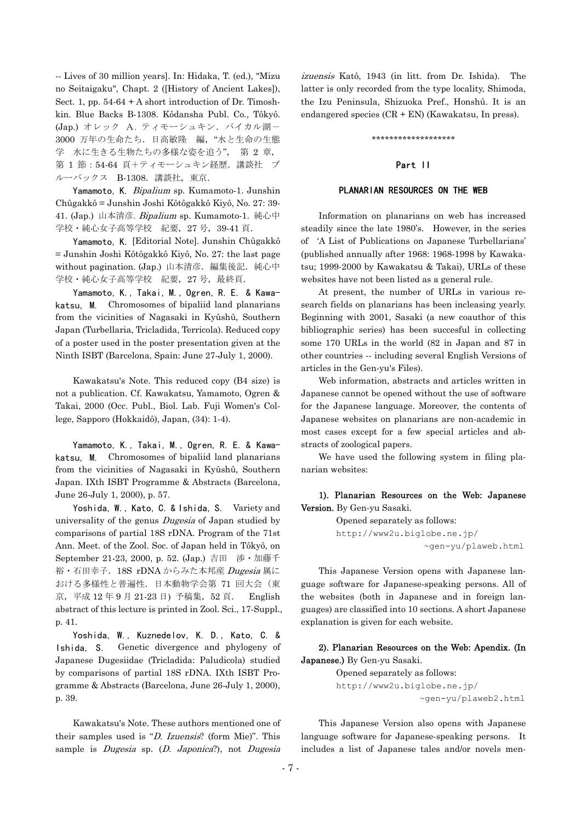-- Lives of 30 million years]. In: Hidaka, T. (ed.), "Mizu no Seitaigaku", Chapt. 2 ([History of Ancient Lakes]), Sect. 1, pp.  $54-64 + A$  short introduction of Dr. Timoshkin. Blue Backs B-1308. Kôdansha Publ. Co., Tôkyô. (Jap.) オレック A. ティモーシュキン. バイカル湖-3000 万年の生命たち.日高敏隆 編,"水と生命の生態 学 水に生きる生物たちの多様な姿を追う", 第 2 章, 第 1 節:54-64 頁+ティモーシュキン経歴.講談社 ブ ルーバックス B-1308. 講談社, 東京.

Yamamoto, K. Bipalium sp. Kumamoto-1. Junshin Chûgakkô = Junshin Joshi Kôtôgakkô Kiyô, No. 27: 39- 41. (Jap.) 山本清彦. Bipalium sp. Kumamoto-1. 純心中 学校·純心女子高等学校 紀要, 27 号, 39-41 頁.

 Yamamoto, K. [Editorial Note]. Junshin Chûgakkô = Junshin Joshi Kôtôgakkô Kiyô, No. 27: the last page without pagination. (Jap.) 山本清彦. 編集後記. 純心中 学校·純心女子高等学校 紀要, 27号, 最終頁.

 Yamamoto, K., Takai, M., Ogren, R. E. & Kawakatsu, M. Chromosomes of bipaliid land planarians from the vicinities of Nagasaki in Kyûshû, Southern Japan (Turbellaria, Tricladida, Terricola). Reduced copy of a poster used in the poster presentation given at the Ninth ISBT (Barcelona, Spain: June 27-July 1, 2000).

 Kawakatsu's Note. This reduced copy (B4 size) is not a publication. Cf. Kawakatsu, Yamamoto, Ogren & Takai, 2000 (Occ. Publ., Biol. Lab. Fuji Women's College, Sapporo (Hokkaidô), Japan, (34): 1-4).

 Yamamoto, K., Takai, M., Ogren, R. E. & Kawakatsu, M. Chromosomes of bipaliid land planarians from the vicinities of Nagasaki in Kyûshû, Southern Japan. IXth ISBT Programme & Abstracts (Barcelona, June 26-July 1, 2000), p. 57.

 Yoshida, W., Kato, C. & Ishida, S. Variety and universality of the genus *Dugesia* of Japan studied by comparisons of partial 18S rDNA. Program of the 71st Ann. Meet. of the Zool. Soc. of Japan held in Tôkyô, on September 21-23, 2000, p. 52. (Jap.) 吉田 渉・加藤千 裕·石田幸子. 18S rDNA からみた本邦産 Dugesia 属に おける多様性と普遍性. 日本動物学会第 71 回大会(東 京, 平成 12 年 9 月 21-23 日) 予稿集, 52 頁. English abstract of this lecture is printed in Zool. Sci., 17-Suppl., p. 41.

 Yoshida, W., Kuznedelov, K. D., Kato, C. & Ishida, S. Genetic divergence and phylogeny of Japanese Dugesiidae (Tricladida: Paludicola) studied by comparisons of partial 18S rDNA. IXth ISBT Programme & Abstracts (Barcelona, June 26-July 1, 2000), p. 39.

 Kawakatsu's Note. These authors mentioned one of their samples used is "D. Izuensis? (form Mie)". This sample is *Dugesia* sp. (*D. Japonica*?), not *Dugesia* 

izuensis Katô, 1943 (in litt. from Dr. Ishida). The latter is only recorded from the type locality, Shimoda, the Izu Peninsula, Shizuoka Pref., Honshû. It is an endangered species (CR + EN) (Kawakatsu, In press).

\*\*\*\*\*\*\*\*\*\*\*\*\*\*\*\*\*\*\*

#### Part II

#### PLANARIAN RESOURCES ON THE WEB

 Information on planarians on web has increased steadily since the late 1980's. However, in the series of 'A List of Publications on Japanese Turbellarians' (published annually after 1968: 1968-1998 by Kawakatsu; 1999-2000 by Kawakatsu & Takai), URLs of these websites have not been listed as a general rule.

 At present, the number of URLs in various research fields on planarians has been incleasing yearly. Beginning with 2001, Sasaki (a new coauthor of this bibliographic series) has been succesful in collecting some 170 URLs in the world (82 in Japan and 87 in other countries -- including several English Versions of articles in the Gen-yu's Files).

 Web information, abstracts and articles written in Japanese cannot be opened without the use of software for the Japanese language. Moreover, the contents of Japanese websites on planarians are non-academic in most cases except for a few special articles and abstracts of zoological papers.

 We have used the following system in filing planarian websites:

 1). Planarian Resources on the Web: Japanese Version. By Gen-yu Sasaki.

> Opened separately as follows: [http://www2u.biglobe.ne.jp/](http://www2u.biglobe.ne.jp/~gen-yu/plaweb.html)  [~gen-yu/plaweb.html](http://www2u.biglobe.ne.jp/~gen-yu/plaweb.html)

 This Japanese Version opens with Japanese language software for Japanese-speaking persons. All of the websites (both in Japanese and in foreign languages) are classified into 10 sections. A short Japanese explanation is given for each website.

 2). Planarian Resources on the Web: Apendix. (In Japanese.) By Gen-yu Sasaki.

> Opened separately as follows: [http://www2u.biglobe.ne.jp/](http://www2u.biglobe.ne.jp/~gen-yu/plaweb2.html)  [~gen-yu/plaweb2.html](http://www2u.biglobe.ne.jp/~gen-yu/plaweb2.html)

 This Japanese Version also opens with Japanese language software for Japanese-speaking persons. It includes a list of Japanese tales and/or novels men